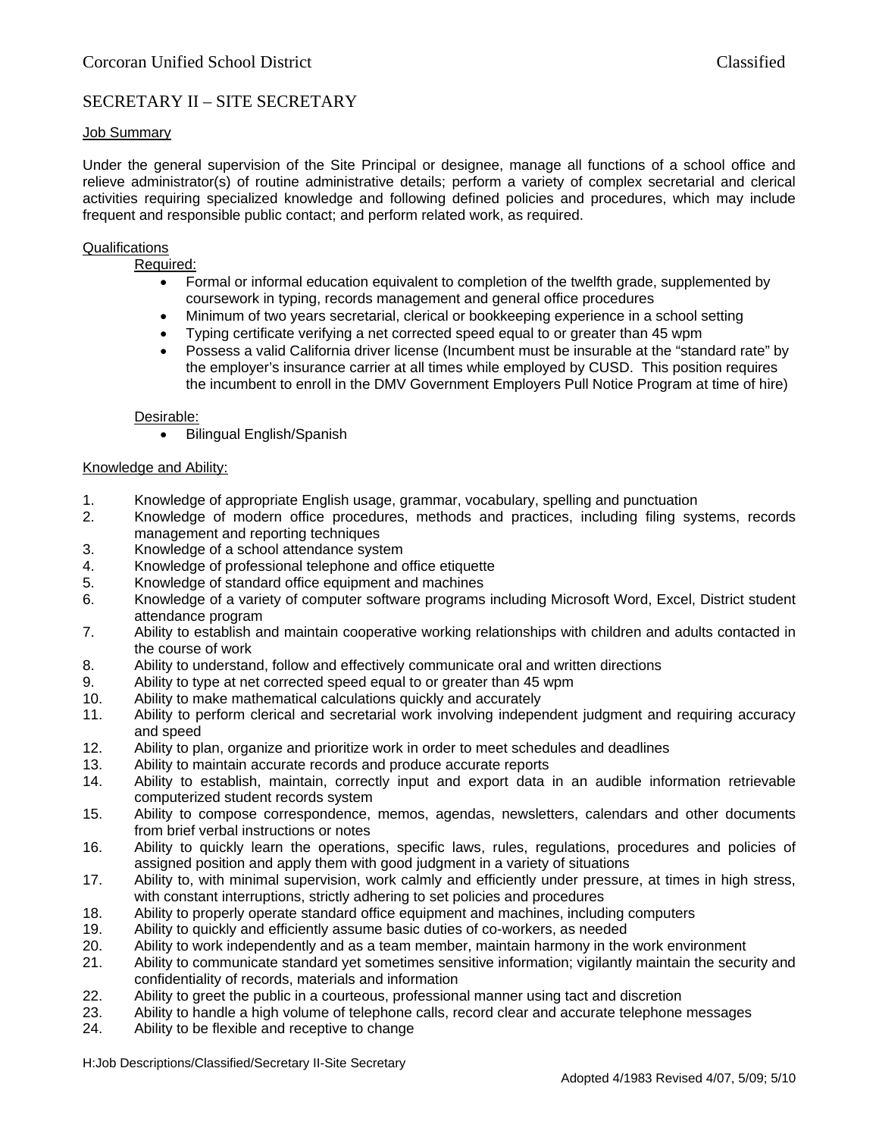# SECRETARY II – SITE SECRETARY

### Job Summary

Under the general supervision of the Site Principal or designee, manage all functions of a school office and relieve administrator(s) of routine administrative details; perform a variety of complex secretarial and clerical activities requiring specialized knowledge and following defined policies and procedures, which may include frequent and responsible public contact; and perform related work, as required.

#### Qualifications

Required:

- Formal or informal education equivalent to completion of the twelfth grade, supplemented by coursework in typing, records management and general office procedures
- Minimum of two years secretarial, clerical or bookkeeping experience in a school setting
- Typing certificate verifying a net corrected speed equal to or greater than 45 wpm
- Possess a valid California driver license (Incumbent must be insurable at the "standard rate" by the employer's insurance carrier at all times while employed by CUSD. This position requires the incumbent to enroll in the DMV Government Employers Pull Notice Program at time of hire)

#### Desirable:

• Bilingual English/Spanish

#### Knowledge and Ability:

- 1. Knowledge of appropriate English usage, grammar, vocabulary, spelling and punctuation
- 2. Knowledge of modern office procedures, methods and practices, including filing systems, records management and reporting techniques
- 3. Knowledge of a school attendance system
- 4. Knowledge of professional telephone and office etiquette
- 5. Knowledge of standard office equipment and machines
- 6. Knowledge of a variety of computer software programs including Microsoft Word, Excel, District student attendance program
- 7. Ability to establish and maintain cooperative working relationships with children and adults contacted in the course of work
- 8. Ability to understand, follow and effectively communicate oral and written directions
- 9. Ability to type at net corrected speed equal to or greater than 45 wpm
- 10. Ability to make mathematical calculations quickly and accurately
- 11. Ability to perform clerical and secretarial work involving independent judgment and requiring accuracy and speed
- 12. Ability to plan, organize and prioritize work in order to meet schedules and deadlines
- 13. Ability to maintain accurate records and produce accurate reports
- 14. Ability to establish, maintain, correctly input and export data in an audible information retrievable computerized student records system
- 15. Ability to compose correspondence, memos, agendas, newsletters, calendars and other documents from brief verbal instructions or notes
- 16. Ability to quickly learn the operations, specific laws, rules, regulations, procedures and policies of assigned position and apply them with good judgment in a variety of situations
- 17. Ability to, with minimal supervision, work calmly and efficiently under pressure, at times in high stress, with constant interruptions, strictly adhering to set policies and procedures
- 18. Ability to properly operate standard office equipment and machines, including computers
- 19. Ability to quickly and efficiently assume basic duties of co-workers, as needed
- 20. Ability to work independently and as a team member, maintain harmony in the work environment
- 21. Ability to communicate standard yet sometimes sensitive information; vigilantly maintain the security and confidentiality of records, materials and information
- 22. Ability to greet the public in a courteous, professional manner using tact and discretion
- 23. Ability to handle a high volume of telephone calls, record clear and accurate telephone messages
- 24. Ability to be flexible and receptive to change

H:Job Descriptions/Classified/Secretary II-Site Secretary